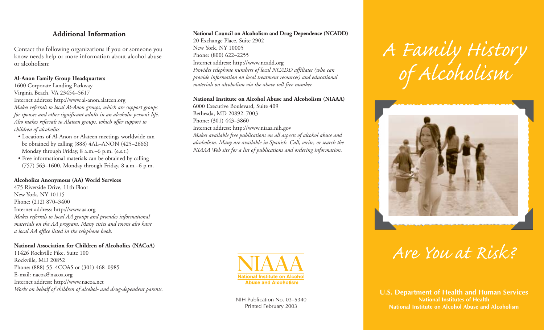### **Additional Information**

Contact the following organizations if you or someone you know needs help or more information about alcohol abuse or alcoholism:

#### **Al-Anon Family Group Headquarters**

1600 Corporate Landing Parkway Virginia Beach, VA 23454–5617 Internet address: http://www.al-anon.alateen.org *Makes referrals to local Al-Anon groups, which are support groups for spouses and other significant adults in an alcoholic person's life. Also makes referrals to Alateen groups, which offer support to children of alcoholics.* 

- Locations of Al-Anon or Alateen meetings worldwide can be obtained by calling (888) 4AL–ANON (425–2666) Monday through Friday, 8 a.m.–6 p.m. (e.s.t.)
- Free informational materials can be obtained by calling (757) 563–1600, Monday through Friday, 8 a.m.–6 p.m.

#### **Alcoholics Anonymous (AA) World Services**

475 Riverside Drive, 11th Floor New York, NY 10115 Phone: (212) 870–3400 Internet address: http://www.aa.org *Makes referrals to local AA groups and provides informational materials on the AA program. Many cities and towns also have a local AA office listed in the telephone book.* 

#### **National Association for Children of Alcoholics (NACoA)**

11426 Rockville Pike, Suite 100 Rockville, MD 20852 Phone: (888) 55–4COAS or (301) 468–0985 E-mail: nacoa@nacoa.org Internet address: http://www.nacoa.net *Works on behalf of children of alcohol- and drug-dependent parents.* 

#### **National Council on Alcoholism and Drug Dependence (NCADD)**

20 Exchange Place, Suite 2902 New York, NY 10005 Phone: (800) 622–2255 Internet address: http://www.ncadd.org *Provides telephone numbers of local NCADD affiliates (who can provide information on local treatment resources) and educational materials on alcoholism via the above toll-free number.* 

#### **National Institute on Alcohol Abuse and Alcoholism (NIAAA)**

6000 Executive Boulevard, Suite 409 Bethesda, MD 20892–7003 Phone: (301) 443–3860 Internet address: http://www.niaaa.nih.gov *Makes available free publications on all aspects of alcohol abuse and alcoholism. Many are available in Spanish. Call, write, or search the NIAAA Web site for a list of publications and ordering information.* 



NIH Publication No. 03–5340 Printed February 2003

# *A Family History of Alcoholism*



## *Are You at Risk?*

**U.S. Department of Health and Human Services National Institutes of Health National Institute on Alcohol Abuse and Alcoholism**